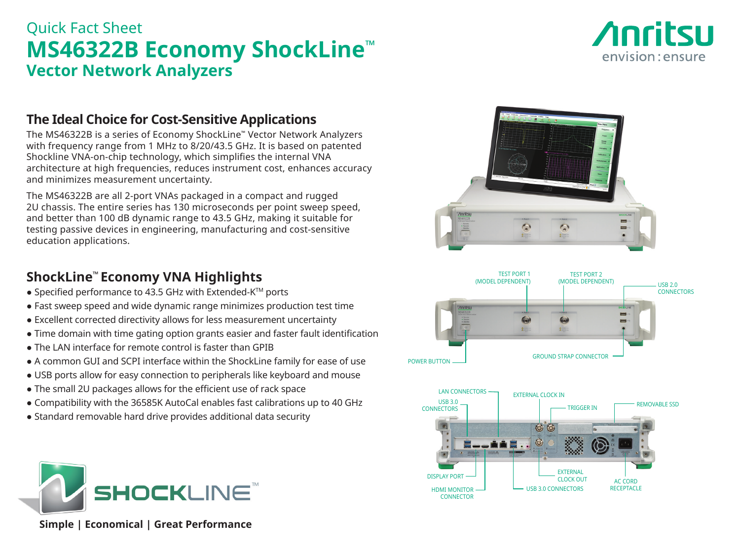# Quick Fact Sheet **MS46322B Economy ShockLine™ Vector Network Analyzers**



## **The Ideal Choice for Cost-Sensitive Applications**

The MS46322B is a series of Economy ShockLine™ Vector Network Analyzers with frequency range from 1 MHz to 8/20/43.5 GHz. It is based on patented Shockline VNA-on-chip technology, which simplifies the internal VNA architecture at high frequencies, reduces instrument cost, enhances accuracy and minimizes measurement uncertainty.

The MS46322B are all 2-port VNAs packaged in a compact and rugged 2U chassis. The entire series has 130 microseconds per point sweep speed, and better than 100 dB dynamic range to 43.5 GHz, making it suitable for testing passive devices in engineering, manufacturing and cost-sensitive education applications.

## **ShockLine™ Economy VNA Highlights**

- Specified performance to 43.5 GHz with Extended-K™ ports
- Fast sweep speed and wide dynamic range minimizes production test time
- Excellent corrected directivity allows for less measurement uncertainty
- Time domain with time gating option grants easier and faster fault identification
- The LAN interface for remote control is faster than GPIB
- A common GUI and SCPI interface within the ShockLine family for ease of use
- USB ports allow for easy connection to peripherals like keyboard and mouse
- The small 2U packages allows for the efficient use of rack space
- Compatibility with the 36585K AutoCal enables fast calibrations up to 40 GHz
- Standard removable hard drive provides additional data security



 **Simple | Economical | Great Performance**